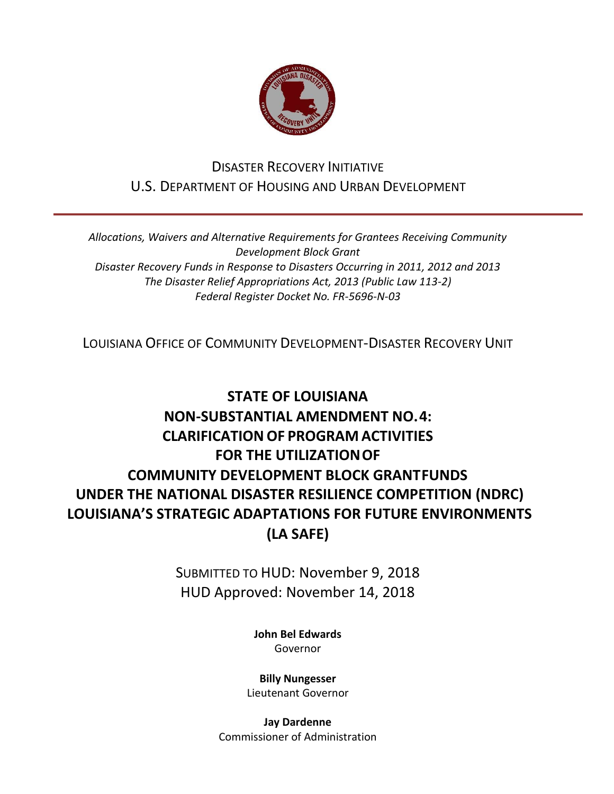

## DISASTER RECOVERY INITIATIVE U.S. DEPARTMENT OF HOUSING AND URBAN DEVELOPMENT

*Allocations, Waivers and Alternative Requirements for Grantees Receiving Community Development Block Grant Disaster Recovery Funds in Response to Disasters Occurring in 2011, 2012 and 2013 The Disaster Relief Appropriations Act, 2013 (Public Law 113-2) Federal Register Docket No. FR-5696-N-03*

LOUISIANA OFFICE OF COMMUNITY DEVELOPMENT-DISASTER RECOVERY UNIT

# **STATE OF LOUISIANA NON-SUBSTANTIAL AMENDMENT NO.4: CLARIFICATION OF PROGRAM ACTIVITIES FOR THE UTILIZATIONOF COMMUNITY DEVELOPMENT BLOCK GRANTFUNDS UNDER THE NATIONAL DISASTER RESILIENCE COMPETITION (NDRC) LOUISIANA'S STRATEGIC ADAPTATIONS FOR FUTURE ENVIRONMENTS (LA SAFE)**

SUBMITTED TO HUD: November 9, 2018 HUD Approved: November 14, 2018

> **[John Bel Edwards](https://www.facebook.com/LouisianaGov/)** Governor

**Billy Nungesser** Lieutenant Governor

**Jay Dardenne** Commissioner of Administration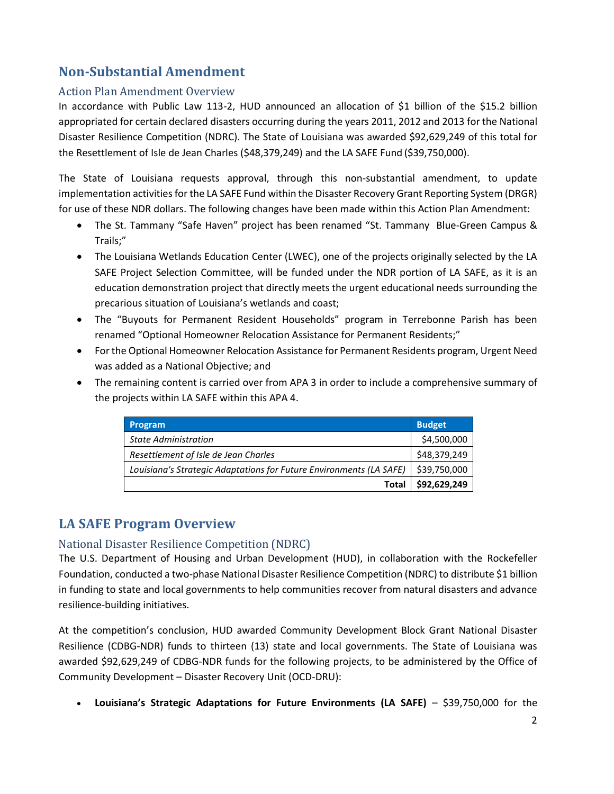## **Non-Substantial Amendment**

### Action Plan Amendment Overview

In accordance with Public Law 113-2, HUD announced an allocation of \$1 billion of the \$15.2 billion appropriated for certain declared disasters occurring during the years 2011, 2012 and 2013 for the National Disaster Resilience Competition (NDRC). The State of Louisiana was awarded \$92,629,249 of this total for the Resettlement of Isle de Jean Charles (\$48,379,249) and the LA SAFE Fund (\$39,750,000).

The State of Louisiana requests approval, through this non-substantial amendment, to update implementation activities for the LA SAFE Fund within the Disaster Recovery Grant Reporting System (DRGR) for use of these NDR dollars. The following changes have been made within this Action Plan Amendment:

- The St. Tammany "Safe Haven" project has been renamed "St. Tammany Blue-Green Campus & Trails;"
- The Louisiana Wetlands Education Center (LWEC), one of the projects originally selected by the LA SAFE Project Selection Committee, will be funded under the NDR portion of LA SAFE, as it is an education demonstration project that directly meets the urgent educational needs surrounding the precarious situation of Louisiana's wetlands and coast;
- The "Buyouts for Permanent Resident Households" program in Terrebonne Parish has been renamed "Optional Homeowner Relocation Assistance for Permanent Residents;"
- For the Optional Homeowner Relocation Assistance for Permanent Residents program, Urgent Need was added as a National Objective; and
- The remaining content is carried over from APA 3 in order to include a comprehensive summary of the projects within LA SAFE within this APA 4.

| <b>Program</b>                                                      | <b>Budget</b> |
|---------------------------------------------------------------------|---------------|
| <b>State Administration</b>                                         | \$4,500,000   |
| Resettlement of Isle de Jean Charles                                | \$48,379,249  |
| Louisiana's Strategic Adaptations for Future Environments (LA SAFE) | \$39,750,000  |
| Total                                                               | \$92,629,249  |

## **LA SAFE Program Overview**

## National Disaster Resilience Competition (NDRC)

The U.S. Department of Housing and Urban Development (HUD), in collaboration with the Rockefeller Foundation, conducted a two-phase National Disaster Resilience Competition (NDRC) to distribute \$1 billion in funding to state and local governments to help communities recover from natural disasters and advance resilience-building initiatives.

At the competition's conclusion, HUD awarded Community Development Block Grant National Disaster Resilience (CDBG-NDR) funds to thirteen (13) state and local governments. The State of Louisiana was awarded \$92,629,249 of CDBG-NDR funds for the following projects, to be administered by the Office of Community Development – Disaster Recovery Unit (OCD-DRU):

**Louisiana's Strategic Adaptations for Future Environments (LA SAFE)** – \$39,750,000 for the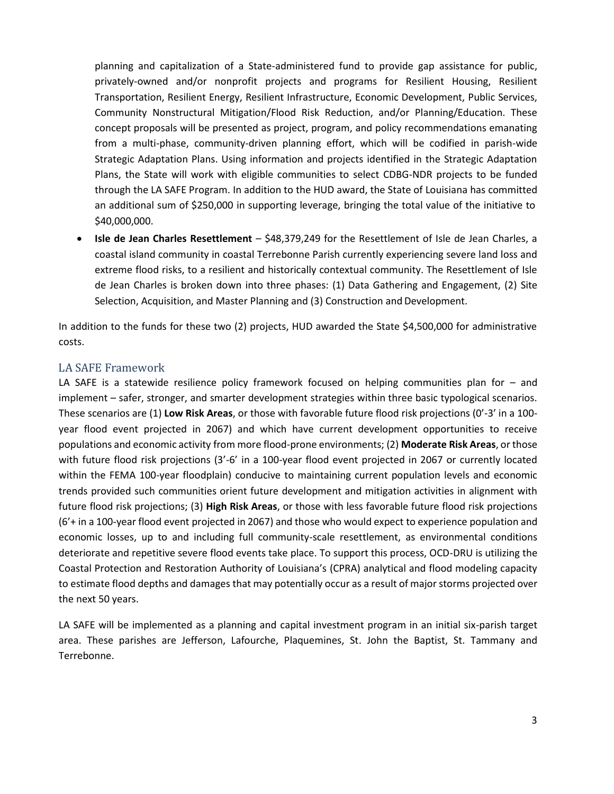planning and capitalization of a State-administered fund to provide gap assistance for public, privately-owned and/or nonprofit projects and programs for Resilient Housing, Resilient Transportation, Resilient Energy, Resilient Infrastructure, Economic Development, Public Services, Community Nonstructural Mitigation/Flood Risk Reduction, and/or Planning/Education. These concept proposals will be presented as project, program, and policy recommendations emanating from a multi-phase, community-driven planning effort, which will be codified in parish-wide Strategic Adaptation Plans. Using information and projects identified in the Strategic Adaptation Plans, the State will work with eligible communities to select CDBG-NDR projects to be funded through the LA SAFE Program. In addition to the HUD award, the State of Louisiana has committed an additional sum of \$250,000 in supporting leverage, bringing the total value of the initiative to \$40,000,000.

 **Isle de Jean Charles Resettlement** – \$48,379,249 for the Resettlement of Isle de Jean Charles, a coastal island community in coastal Terrebonne Parish currently experiencing severe land loss and extreme flood risks, to a resilient and historically contextual community. The Resettlement of Isle de Jean Charles is broken down into three phases: (1) Data Gathering and Engagement, (2) Site Selection, Acquisition, and Master Planning and (3) Construction and Development.

In addition to the funds for these two (2) projects, HUD awarded the State \$4,500,000 for administrative costs.

#### LA SAFE Framework

LA SAFE is a statewide resilience policy framework focused on helping communities plan for – and implement – safer, stronger, and smarter development strategies within three basic typological scenarios. These scenarios are (1) **Low Risk Areas**, or those with favorable future flood risk projections (0'-3' in a 100 year flood event projected in 2067) and which have current development opportunities to receive populations and economic activity from more flood-prone environments; (2) **Moderate Risk Areas**, or those with future flood risk projections (3'-6' in a 100-year flood event projected in 2067 or currently located within the FEMA 100-year floodplain) conducive to maintaining current population levels and economic trends provided such communities orient future development and mitigation activities in alignment with future flood risk projections; (3) **High Risk Areas**, or those with less favorable future flood risk projections (6'+ in a 100-year flood event projected in 2067) and those who would expect to experience population and economic losses, up to and including full community-scale resettlement, as environmental conditions deteriorate and repetitive severe flood events take place. To support this process, OCD-DRU is utilizing the Coastal Protection and Restoration Authority of Louisiana's (CPRA) analytical and flood modeling capacity to estimate flood depths and damages that may potentially occur as a result of major storms projected over the next 50 years.

LA SAFE will be implemented as a planning and capital investment program in an initial six-parish target area. These parishes are Jefferson, Lafourche, Plaquemines, St. John the Baptist, St. Tammany and Terrebonne.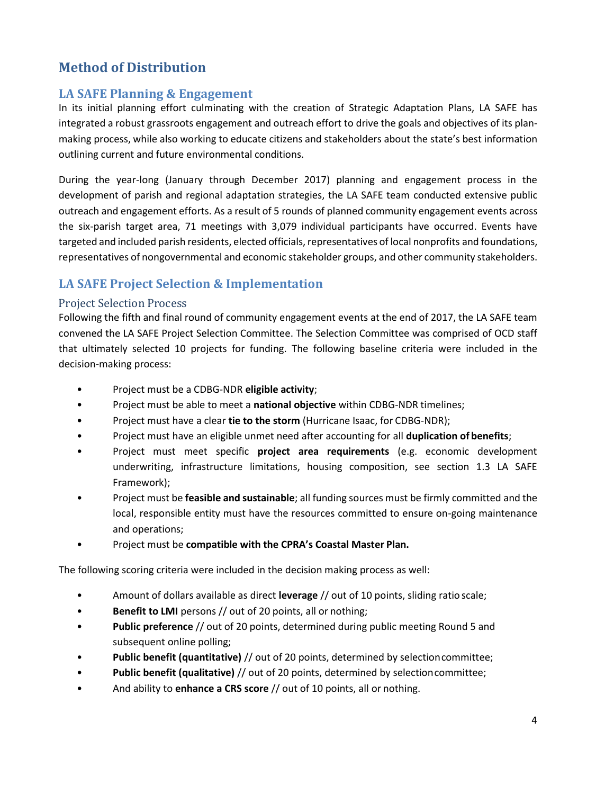## **Method of Distribution**

## **LA SAFE Planning & Engagement**

In its initial planning effort culminating with the creation of Strategic Adaptation Plans, LA SAFE has integrated a robust grassroots engagement and outreach effort to drive the goals and objectives of its planmaking process, while also working to educate citizens and stakeholders about the state's best information outlining current and future environmental conditions.

During the year-long (January through December 2017) planning and engagement process in the development of parish and regional adaptation strategies, the LA SAFE team conducted extensive public outreach and engagement efforts. As a result of 5 rounds of planned community engagement events across the six-parish target area, 71 meetings with 3,079 individual participants have occurred. Events have targeted and included parish residents, elected officials, representatives of local nonprofits and foundations, representatives of nongovernmental and economic stakeholder groups, and other community stakeholders.

## **LA SAFE Project Selection & Implementation**

### Project Selection Process

Following the fifth and final round of community engagement events at the end of 2017, the LA SAFE team convened the LA SAFE Project Selection Committee. The Selection Committee was comprised of OCD staff that ultimately selected 10 projects for funding. The following baseline criteria were included in the decision-making process:

- Project must be a CDBG-NDR **eligible activity**;
- Project must be able to meet a **national objective** within CDBG-NDR timelines;
- Project must have a clear **tie to the storm** (Hurricane Isaac, for CDBG-NDR);
- Project must have an eligible unmet need after accounting for all **duplication of benefits**;
- Project must meet specific **project area requirements** (e.g. economic development underwriting, infrastructure limitations, housing composition, see section 1.3 LA SAFE Framework);
- Project must be **feasible and sustainable**; all funding sources must be firmly committed and the local, responsible entity must have the resources committed to ensure on-going maintenance and operations;
- Project must be **compatible with the CPRA's Coastal Master Plan.**

The following scoring criteria were included in the decision making process as well:

- Amount of dollars available as direct **leverage** // out of 10 points, sliding ratio scale;
- **Benefit to LMI** persons // out of 20 points, all or nothing;
- **Public preference** // out of 20 points, determined during public meeting Round 5 and subsequent online polling;
- **Public benefit (quantitative)** // out of 20 points, determined by selectioncommittee;
- **Public benefit (qualitative)** // out of 20 points, determined by selectioncommittee;
- And ability to **enhance a CRS score** // out of 10 points, all or nothing.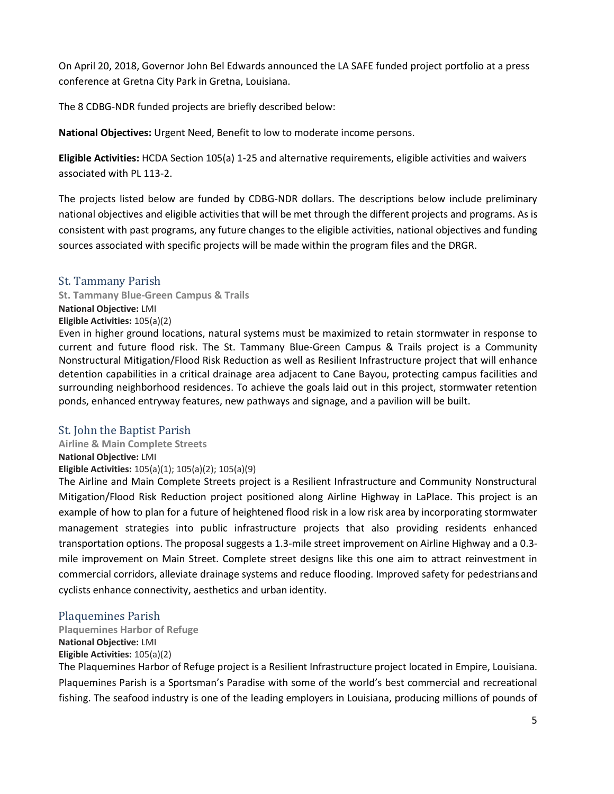On April 20, 2018, Governor John Bel Edwards announced the LA SAFE funded project portfolio at a press conference at Gretna City Park in Gretna, Louisiana.

The 8 CDBG-NDR funded projects are briefly described below:

**National Objectives:** Urgent Need, Benefit to low to moderate income persons.

**Eligible Activities:** HCDA Section 105(a) 1-25 and alternative requirements, eligible activities and waivers associated with PL 113-2.

The projects listed below are funded by CDBG-NDR dollars. The descriptions below include preliminary national objectives and eligible activities that will be met through the different projects and programs. As is consistent with past programs, any future changes to the eligible activities, national objectives and funding sources associated with specific projects will be made within the program files and the DRGR.

### St. Tammany Parish

**St. Tammany Blue-Green Campus & Trails National Objective:** LMI **Eligible Activities:** 105(a)(2) Even in higher ground locations, natural systems must be maximized to retain stormwater in response to current and future flood risk. The St. Tammany Blue-Green Campus & Trails project is a Community Nonstructural Mitigation/Flood Risk Reduction as well as Resilient Infrastructure project that will enhance

detention capabilities in a critical drainage area adjacent to Cane Bayou, protecting campus facilities and surrounding neighborhood residences. To achieve the goals laid out in this project, stormwater retention ponds, enhanced entryway features, new pathways and signage, and a pavilion will be built.

### St. John the Baptist Parish

**Airline & Main Complete Streets National Objective:** LMI **Eligible Activities:** 105(a)(1); 105(a)(2); 105(a)(9)

The Airline and Main Complete Streets project is a Resilient Infrastructure and Community Nonstructural Mitigation/Flood Risk Reduction project positioned along Airline Highway in LaPlace. This project is an example of how to plan for a future of heightened flood risk in a low risk area by incorporating stormwater management strategies into public infrastructure projects that also providing residents enhanced transportation options. The proposal suggests a 1.3-mile street improvement on Airline Highway and a 0.3 mile improvement on Main Street. Complete street designs like this one aim to attract reinvestment in commercial corridors, alleviate drainage systems and reduce flooding. Improved safety for pedestriansand cyclists enhance connectivity, aesthetics and urban identity.

#### Plaquemines Parish

**Plaquemines Harbor of Refuge** 

### **National Objective:** LMI

### **Eligible Activities:** 105(a)(2)

The Plaquemines Harbor of Refuge project is a Resilient Infrastructure project located in Empire, Louisiana. Plaquemines Parish is a Sportsman's Paradise with some of the world's best commercial and recreational fishing. The seafood industry is one of the leading employers in Louisiana, producing millions of pounds of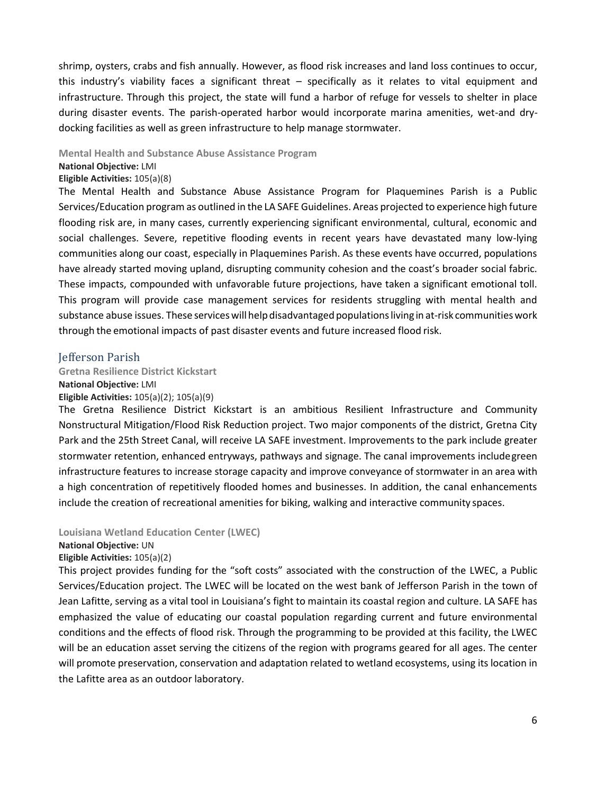shrimp, oysters, crabs and fish annually. However, as flood risk increases and land loss continues to occur, this industry's viability faces a significant threat – specifically as it relates to vital equipment and infrastructure. Through this project, the state will fund a harbor of refuge for vessels to shelter in place during disaster events. The parish-operated harbor would incorporate marina amenities, wet-and drydocking facilities as well as green infrastructure to help manage stormwater.

#### **Mental Health and Substance Abuse Assistance Program**

#### **National Objective:** LMI

#### **Eligible Activities:** 105(a)(8)

The Mental Health and Substance Abuse Assistance Program for Plaquemines Parish is a Public Services/Education program as outlined in the LA SAFE Guidelines. Areas projected to experience high future flooding risk are, in many cases, currently experiencing significant environmental, cultural, economic and social challenges. Severe, repetitive flooding events in recent years have devastated many low-lying communities along our coast, especially in Plaquemines Parish. As these events have occurred, populations have already started moving upland, disrupting community cohesion and the coast's broader social fabric. These impacts, compounded with unfavorable future projections, have taken a significant emotional toll. This program will provide case management services for residents struggling with mental health and substance abuse issues. These services will help disadvantaged populations living in at-risk communities work through the emotional impacts of past disaster events and future increased flood risk.

#### Jefferson Parish

#### **Gretna Resilience District Kickstart**

**National Objective:** LMI

#### **Eligible Activities:** 105(a)(2); 105(a)(9)

The Gretna Resilience District Kickstart is an ambitious Resilient Infrastructure and Community Nonstructural Mitigation/Flood Risk Reduction project. Two major components of the district, Gretna City Park and the 25th Street Canal, will receive LA SAFE investment. Improvements to the park include greater stormwater retention, enhanced entryways, pathways and signage. The canal improvements includegreen infrastructure features to increase storage capacity and improve conveyance of stormwater in an area with a high concentration of repetitively flooded homes and businesses. In addition, the canal enhancements include the creation of recreational amenities for biking, walking and interactive community spaces.

#### **Louisiana Wetland Education Center (LWEC)**

#### **National Objective:** UN

**Eligible Activities:** 105(a)(2)

This project provides funding for the "soft costs" associated with the construction of the LWEC, a Public Services/Education project. The LWEC will be located on the west bank of Jefferson Parish in the town of Jean Lafitte, serving as a vital tool in Louisiana's fight to maintain its coastal region and culture. LA SAFE has emphasized the value of educating our coastal population regarding current and future environmental conditions and the effects of flood risk. Through the programming to be provided at this facility, the LWEC will be an education asset serving the citizens of the region with programs geared for all ages. The center will promote preservation, conservation and adaptation related to wetland ecosystems, using its location in the Lafitte area as an outdoor laboratory.